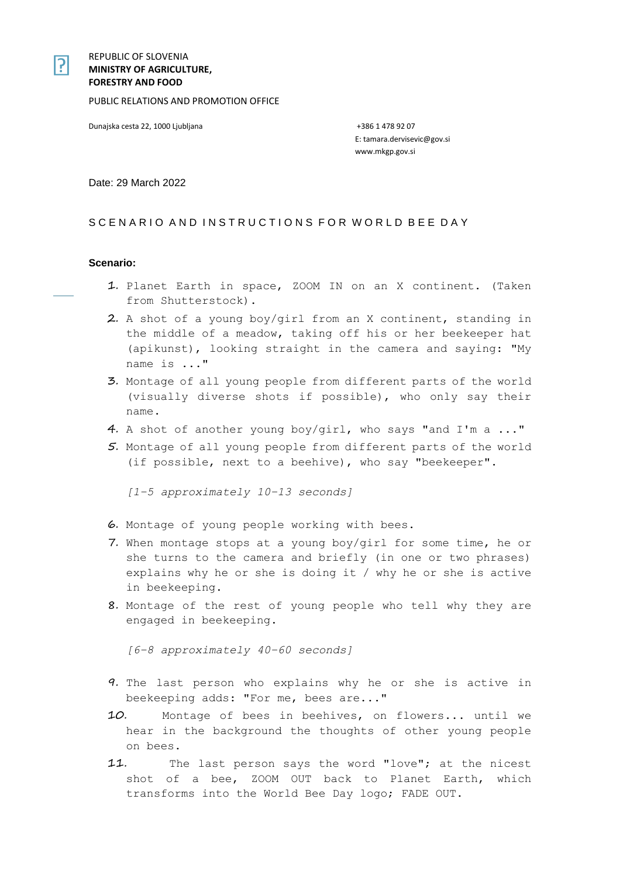### REPUBLIC OF SLOVENIA **MINISTRY OF AGRICULTURE, FORESTRY AND FOOD**

PUBLIC RELATIONS AND PROMOTION OFFICE

Dunajska cesta 22, 1000 Ljubljana +386 1 478 92 07

E: tamara.dervisevic@gov.si www.mkgp.gov.si

Date: 29 March 2022

## SCENARIO AND INSTRUCTIONS FOR WORLD BEE DAY

#### **Scenario:**

- 1. Planet Earth in space, ZOOM IN on an X continent. (Taken from Shutterstock).
- 2. A shot of a young boy/girl from an X continent, standing in the middle of a meadow, taking off his or her beekeeper hat (apikunst), looking straight in the camera and saying: "My name is ..."
- 3. Montage of all young people from different parts of the world (visually diverse shots if possible), who only say their name.
- 4. A shot of another young boy/girl, who says "and I'm a ..."
- 5. Montage of all young people from different parts of the world (if possible, next to a beehive), who say "beekeeper".

*[1–5 approximately 10–13 seconds]*

- 6. Montage of young people working with bees.
- 7. When montage stops at a young boy/girl for some time, he or she turns to the camera and briefly (in one or two phrases) explains why he or she is doing it / why he or she is active in beekeeping.
- 8. Montage of the rest of young people who tell why they are engaged in beekeeping.

*[6–8 approximately 40–60 seconds]*

- 9. The last person who explains why he or she is active in beekeeping adds: "For me, bees are..."
- 10. Montage of bees in beehives, on flowers... until we hear in the background the thoughts of other young people on bees.
- 11. The last person says the word "love"; at the nicest shot of a bee, ZOOM OUT back to Planet Earth, which transforms into the World Bee Day logo; FADE OUT.